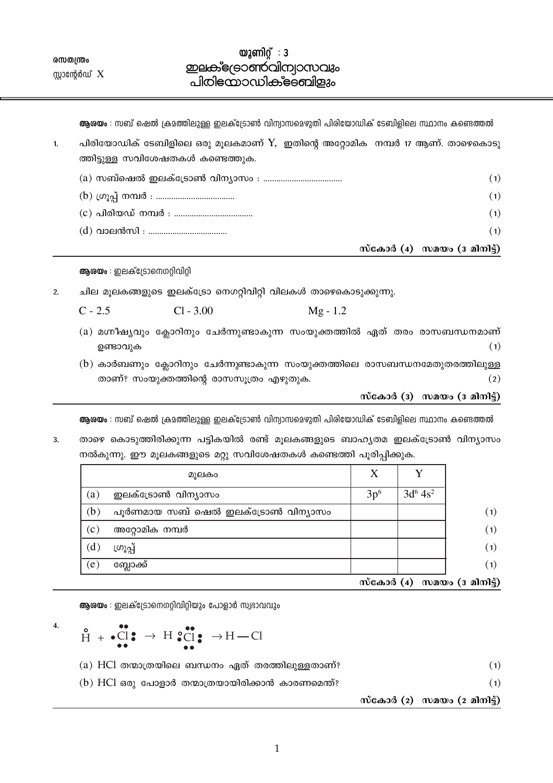൜തന്ത്രം സ്റ്റാന്റേർഡ്  $X$ 

## $\omega$ 2 ണിറ് : 3 **ഇലക്**ട്രോൺവിന്വാസവും പിരിയോഡിക്ട്ടബിളും

**ആശയം** : സബ് ഷെൽ ക്രമത്തിലുള്ള ഇലക്ട്രോൺ വിന്വാസമെഴുതി പിരിയോഡിക് ടേബിളിലെ സ്ഥാനം കണ്ടെത്തൽ

|    |                                                                                | സ്കോർ (4) സമയം (3 മിനിട്ട്) |     |
|----|--------------------------------------------------------------------------------|-----------------------------|-----|
|    |                                                                                |                             | (1) |
|    |                                                                                |                             | (1) |
|    |                                                                                |                             | (1) |
|    |                                                                                |                             | (1) |
|    | ത്തിട്ടുള്ള സവിശേഷതകൾ കണ്ടെത്തുക.                                              |                             |     |
| 1. | പിരിയോഡിക് ടേബിളിലെ ഒരു മൂലകമാണ് $Y$ , ഇതിന്റെ അറ്റോമിക നമ്പർ 17 ആണ്. താഴെകൊടു |                             |     |

ആരയം : ഇലക്ട്രോനെഗറ്റിവിറ്റി

ചില മൂലകങ്ങളുടെ ഇലക്ട്രോ നെഗറ്റിവിറ്റി വിലകൾ താഴെകൊടുക്കുന്നു.  $2<sub>1</sub>$ 

| $C - 2.5$ | $Cl - 3.00$ | $Mg - 1.2$ |
|-----------|-------------|------------|
|           |             |            |

- (a) മഗ്നീഷ്യവും ക്ലോറിനും ചേർന്നുണ്ടാകുന്ന സംയുക്തത്തിൽ ഏത് തരം രാസബന്ധനമാണ് ഉണ്ടാവുക  $(1)$
- (b) കാർബണും ക്ലോറിനും ചേർന്നുണ്ടാകുന്ന സംയുക്തത്തിലെ രാസബന്ധനമേതുതരത്തിലുള്ള താണ്? സംയുക്തത്തിന്റെ രാസസൂത്രം എഴുതുക.  $(2)$

സ്കോർ (3) സമയം (3 മിനിട്ട്)

ആശയം : സബ് ഷെൽ ക്രമത്തിലുള്ള ഇലക്ട്രോൺ വിന്വാസമെഴുതി പിരിയോഡിക് ടേബിളിലെ സ്ഥാനം കണ്ടെത്തൽ

താഴെ കൊടുത്തിരിക്കുന്ന പട്ടികയിൽ രണ്ട് മൂലകങ്ങളുടെ ബാഹൃതമ ഇലക്ട്രോൺ വിന്യാസം  $3.$ നൽകുന്നു. ഈ മൂലകങ്ങളുടെ മറ്റു സവിശേഷതകൾ കണ്ടെത്തി പൂരിപ്പിക്കുക.

|     | മൂലകം                              | X                          | Y           |                   |
|-----|------------------------------------|----------------------------|-------------|-------------------|
| (a) | ഇലക്ട്രോൺ വിന്യാസം                 | 3p <sup>6</sup>            | $3d^6 4s^2$ |                   |
| (b) | പൂർണമായ സബ് ഷെൽ ഇലക്ട്രോൺ വിന്യാസം |                            |             | (1)               |
| (c) | അറ്റോമിക നമ്പർ                     |                            |             | (1)               |
| (d) | ഗ്രൂപ്പ്                           |                            |             | (1)               |
| (e) | ബ്ലോക്ക്                           |                            |             | (1)               |
|     |                                    | $\tilde{\text{m}}$ കോർ (4) |             | സമയം (ദ മിനിട്ട്) |

ആശയം : ഇലക്ട്രോനെഗറ്റിവിറ്റിയും പോളാർ സ്വഭാവവും

 $H \rightarrow \text{Cl}$   $\rightarrow$  H  $\text{Cl}$   $\rightarrow$  H  $\text{Cl}$   $\rightarrow$  H  $\text{Cl}$ 

 $\overline{4}$ .

- $(a)$  HCl തന്മാത്രയിലെ ബന്ധനം ഏത് തരത്തിലുള്ളതാണ്?
- $(b)$  HCl ഒരു പോളാർ തന്മാത്രയായിരിക്കാൻ കാരണമെന്ത്?

സ്കോർ (2) സമയം (2 മിനിട്ട്)

 $(1)$ 

 $(1)$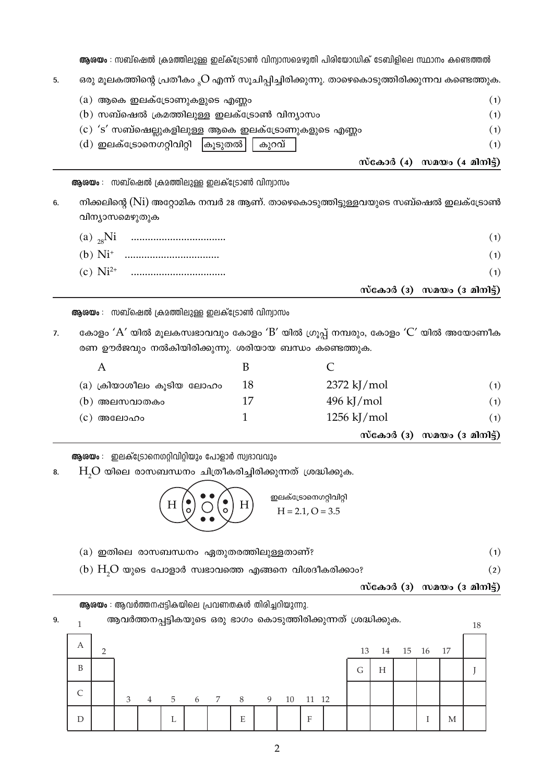ആശയം : സബ്ഷെൽ ക്രമത്തിലുള്ള ഇല്ക്ട്രോൺ വിന്യാസമെഴുതി പിരിയോഡിക് ടേബിളിലെ സ്ഥാനം കണ്ടെത്തൽ

ഒരു മൂലകത്തിന്റെ പ്രതീകം <sub>s</sub>O എന്ന് സൂചിപ്പിച്ചിരിക്കുന്നു. താഴെകൊടുത്തിരിക്കുന്നവ കണ്ടെത്തുക.  $5<sub>1</sub>$ 

|                                                     | സ്കോർ $(4)$ സമയം $(4 \text{ and } 6)$ |
|-----------------------------------------------------|---------------------------------------|
| (d) ഇലക്ട്രോനെഗറ്റിവിറ്റി   കൂടുതൽ    കുറവ്         | (1)                                   |
| (c) 's' സബ്ഷെല്ലുകളിലുള്ള ആകെ ഇലക്ട്രോണുകളുടെ എണ്ണം | (1)                                   |
| $\lambda$ സബ്ഷെൽ ക്രമത്തിലുള്ള ഇലക്ട്രോൺ വിന്യാസം   | (1)                                   |
| (a) ആകെ ഇലക്ട്രോണുകളുടെ എണ്ണം                       | (1)                                   |

ആശയം : സബ്ഷെൽ ക്രമത്തിലുള്ള ഇലക്ട്രോൺ വിന്യാസം

നിക്കലിന്റെ (Ni) അറ്റോമിക നമ്പർ 28 ആണ്. താഴെകൊടുത്തിട്ടുള്ളവയുടെ സബ്ഷെൽ ഇലക്ട്രോൺ 6. വിന്യാസമെഴുതുക

|  | സ്കോർ (3) സമയം (3 മിനിട്ട്) |
|--|-----------------------------|
|  | (1)                         |
|  | (1)                         |
|  | (1)                         |

ആശയം : സബ്ഷെൽ ക്രമത്തിലുള്ള ഇലക്ട്രോൺ വിന്വാസം

കോളം ' $A'$  യിൽ മൂലകസ്വഭാവവും കോളം ' $B'$  യിൽ ഗ്രൂപ്പ് നമ്പരും, കോളം ' $C'$  യിൽ അയോണീക  $\overline{7}$ . രണ ഊർജവും നൽകിയിരിക്കുന്നു. ശരിയായ ബന്ധം കണ്ടെത്തുക.

|                           |    |                       | സ്കോർ (3) സമയം (3 മിനിട്ട്) |
|---------------------------|----|-----------------------|-----------------------------|
| അലോഹം<br>(C)              |    | $1256 \text{ kJ/mol}$ | (1)                         |
| (b) അലസവാതകം              | 17 | $496 \text{ kJ/mol}$  | (1)                         |
| (a) ക്രിയാശീലം കൂടിയ ലോഹം | 18 | $2372$ kJ/mol         | (1)                         |
| A                         |    |                       |                             |

ആശയം : ഇലക്ട്രോനെഗറ്റിവിറ്റിയും പോളാർ സ്വഭാവവും

 $H<sub>2</sub>O$  യിലെ രാസബന്ധനം ചിത്രീകരിച്ചിരിക്കുന്നത് ശ്രദ്ധിക്കുക. 8.



- (a) ഇതിലെ രാസബന്ധനം ഏതുതരത്തിലുള്ളതാണ്?  $(1)$
- (b)  $H<sub>2</sub>O$  യുടെ പോളാർ സ്വഭാവത്തെ എങ്ങനെ വിശദീകരിക്കാം?
	- സ്കോർ ( $3)$  സമയം ( $3$  മിനിട്ട്)

 $(2)$ 

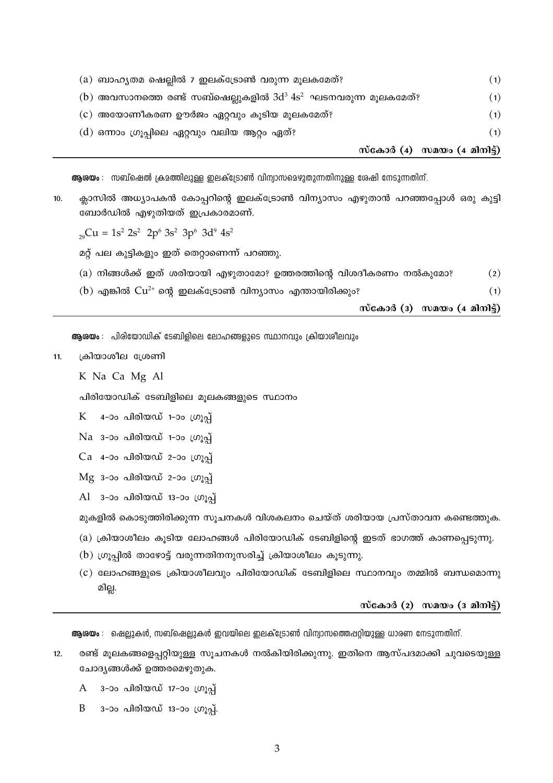|                                               |                                                                    | സ്കോർ (4) സമയം (4 മിനിട്ട്) |
|-----------------------------------------------|--------------------------------------------------------------------|-----------------------------|
| (d) ഒന്നാം ഗ്രൂപ്പിലെ ഏറ്റവും വലിയ ആറ്റം ഏത്? |                                                                    | (1)                         |
|                                               | (c) അയോണീകരണ ഊർജം ഏറ്റവും കൂടിയ മൂലകമേത്?                          | (1)                         |
|                                               | (b) അവസാനത്തെ രണ്ട് സബ്ഷെല്ലുകളിൽ 3 $d^3 4s^2$ ഘടനവരുന്ന മൂലകമേത്? | (1)                         |
|                                               | (a) ബാഹൃതമ ഷെല്ലിൽ 7 ഇലക്ട്രോൺ വരുന്ന മൂലകമേത്?                    | (1)                         |

ആശയം : സബ്ഷെൽ ക്രമത്തിലുള്ള ഇലക്ട്രോൺ വിന്യാസമെഴുതുന്നതിനുള്ള ശേഷി നേടുന്നതിന്.

ക്ലാസിൽ അധ്യാപകൻ കോപ്പറിന്റെ ഇലക്ട്രോൺ വിന്യാസം എഴുതാൻ പറഞ്ഞപ്പോൾ ഒരു കുട്ടി  $10.$ ബോർഡിൽ എഴുതിയത് ഇപ്രകാരമാണ്.

 $_{29}Cu = 1s^2 2s^2 2p^6 3s^2 3p^6 3d^9 4s^2$ 

മറ്റ് പല കുട്ടികളും ഇത് തെറ്റാണെന്ന് പറഞ്ഞു.

- (a) നിങ്ങൾക്ക് ഇത് ശരിയായി എഴുതാമോ? ഉത്തരത്തിന്റെ വിശദീകരണം നൽകുമോ?  $(2)$
- (b) എങ്കിൽ  $Cu^{2+}$  ന്റെ ഇലക്ട്രോൺ വിന്യാസം എന്തായിരിക്കും?

സ്കോർ (3) സമയം  $(4 \text{ and } 3)$ 

 $(1)$ 

ആരയം : പിരിയോഡിക് ടേബിളിലെ ലോഹങ്ങളുടെ സ്ഥാനവും ക്രിയാശിലവും

ക്രിയാശീല ശ്രേണി  $11.$ 

K Na Ca Mg Al

പിരിയോഡിക് ടേബിളിലെ മൂലകങ്ങളുടെ സ്ഥാനം

4-ാം പിരിയഡ് 1-ാം ഗ്രൂപ് K

Na 3-00 പിരിയഡ് 1-00 ഗ്രൂപ്

- Ca 4-ാം പിരിയഡ് 2-ാം ഗ്രുപ്പ്
- $Mg$  3-ാം പിരിയഡ് 2-ാം ഗ്രുപ്
- Al 3-ാം പിരിയഡ് 13-ാം ഗ്രുപ്പ്

മുകളിൽ കൊടുത്തിരിക്കുന്ന സൂചനകൾ വിശകലനം ചെയ്ത് ശരിയായ പ്രസ്താവന കണ്ടെത്തുക.

- $(a)$  ക്രിയാശീലം കൂടിയ ലോഹങ്ങൾ പിരിയോഡിക് ടേബിളിന്റെ ഇടത് ഭാഗത്ത് കാണപ്പെടുന്നു.
- $(b)$  ഗ്രുപ്പിൽ താഴോട്ട് വരുന്നതിനനുസരിച്ച് ക്രിയാശീലം കുടുന്നു.
- (c) ലോഹങ്ങളുടെ ക്രിയാശീലവും പിരിയോഡിക് ടേബിളിലെ സ്ഥാനവും തമ്മിൽ ബന്ധമൊന്നു മില്ല.

സ്കോർ  $(2)$  സമയം  $(3 \text{ and } 3)$ 

**ആശയം** : ഷെല്ലുകൾ, സബ്ഷെല്ലുകൾ ഇവയിലെ ഇലക്ട്രോൺ വിന്വാസത്തെപ്പറ്റിയുള്ള ധാരണ നേടുന്നതിന്.

- രണ്ട് മൂലകങ്ങളെപ്പറ്റിയുള്ള സൂചനകൾ നൽകിയിരിക്കുന്നു. ഇതിനെ ആസ്പദമാക്കി ചുവടെയുള്ള  $12.$ ചോദ്യങ്ങൾക്ക് ഉത്തരമെഴുതുക.
	- 3-ാം പിരിയഡ് 17-ാം ഗ്രുപ്പ്  $\mathsf{A}$
	- 3-ാം പിരിയഡ് 13-ാം ഗ്രൂപ്പ്. B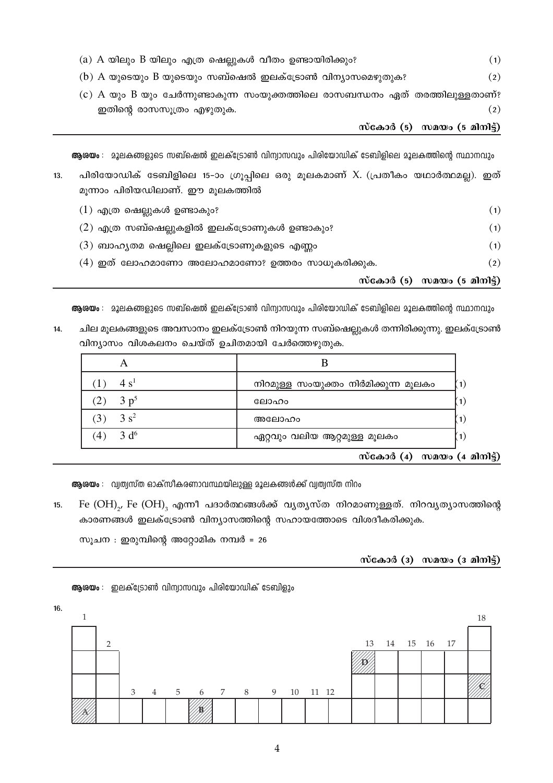| (a) A യിലും B യിലും എത്ര ഷെല്ലുകൾ വീതം ഉണ്ടായിരിക്കും?                        | (1) |
|-------------------------------------------------------------------------------|-----|
| (b) A യുടെയും B യുടെയും സബ്ഷെൽ ഇലക്ട്രോൺ വിന്യാസമെഴുതുക?                      | (2) |
| (c) A യും B യും ചേർന്നുണ്ടാകുന്ന സംയുക്തത്തിലെ രാസബന്ധനം ഏത് തരത്തിലുള്ളതാണ്? |     |
| ഇതിന്റെ രാസസൂത്രം എഴുതുക.                                                     | (2) |

## metao (5) mano (5 anong)

**ആശയം** : മൂലകങ്ങളുടെ സബ്ഷെൽ ഇലക്ട്രോൺ വിന്വാസവും പിരിയോഡിക് ടേബിളിലെ മൂലകത്തിന്റെ സ്ഥാനവും

| 13. | പിരിയോഡിക് ടേബിളിലെ 15–ാം ഗ്രൂപ്പിലെ ഒരു മൂലകമാണ് X. (പ്രതീകം യഥാർത്ഥമല്ല). ഇത് |          |
|-----|---------------------------------------------------------------------------------|----------|
|     | മൂന്നാം പിരിയഡിലാണ്. ഈ മൂലകത്തിൽ                                                |          |
|     | $(1)$ എത്ര ഷെല്ലുകൾ ഉണ്ടാകും?                                                   | (1)      |
|     | $(2)$ എത്ര സബ്ഷെല്ലുകളിൽ ഇലക്ട്രോണുകൾ ഉണ്ടാകും?                                 | (1)      |
|     | $(3)$ ബാഹൃതമ ഷെല്ലിലെ ഇലക്ട്രോണുകളുടെ എണ്ണം                                     | (1)      |
|     | (4) ഇത് ലോഹമാണോ അലോഹമാണോ? ഉത്തരം സാധൂകരിക്കുക.                                  | $\rm(2)$ |

m·cand (5) max (5 and 5)

**ആശയം** : മൂലകങ്ങളുടെ സബ്ഷെൽ ഇലക്ട്രോൺ വിന്വാസവും പിരിയോഡിക് ടേബിളിലെ മൂലകത്തിന്റെ സ്ഥാനവും

14. ചില മൂലകങ്ങളുടെ അവസാനം ഇലക്ട്രോൺ നിറയുന്ന സബ്ഷെല്ലുകൾ തന്നിരിക്കുന്നു. ഇലക്ട്രോൺ വിന്യാസം വിശകലനം ചെയ്ത് ഉചിതമായി ചേർത്തെഴുതുക.

| 4 s <sup>1</sup>        | നിറമുള്ള സംയുക്തം നിർമിക്കുന്ന മൂലകം | (1)               |
|-------------------------|--------------------------------------|-------------------|
| 3 p <sup>5</sup>        | ലോഹം                                 | $\left( 1\right)$ |
| $3s^2$                  | അലോഹം                                | $\mathbf{1}$      |
| 3 d <sup>6</sup><br>(4) | ഏറ്റവും വലിയ ആറ്റമുള്ള മൂലകം         | (1)               |
|                         | $\mathbf{v}$<br>$\sim$ $\sim$        |                   |

സ്കോർ (4) സമയം (4 മിനിട്ട്)

**ആരയം** : വ്യത്വസ്ത ഓക്സീകരണാവസ്ഥയിലുള്ള മൂലകങ്ങൾക്ക് വ്യത്വസ്ത നിറം

15. Fe  ${\rm (OH)}_2$ , Fe  ${\rm (OH)}_3$  എന്നീ പദാർത്ഥങ്ങൾക്ക് വൃതൃസ്ത നിറമാണുള്ളത്. നിറവൃത്യാസത്തിന്റെ കാരണങ്ങൾ ഇലക്ട്രോൺ വിന്യാസത്തിന്റെ സഹായത്തോടെ വിശദീകരിക്കുക.

സൂചന $\cdot$  ഇരുമ്പിന്റെ അറ്റോമിക നമ്പർ = 26

## m്കോർ (3) സമയം (3 മിനിട്ട്)



**ആരയം** : ഇലക്ട്രോൺ വിന്വാസവും പിരിയോഡിക് ടേബിളും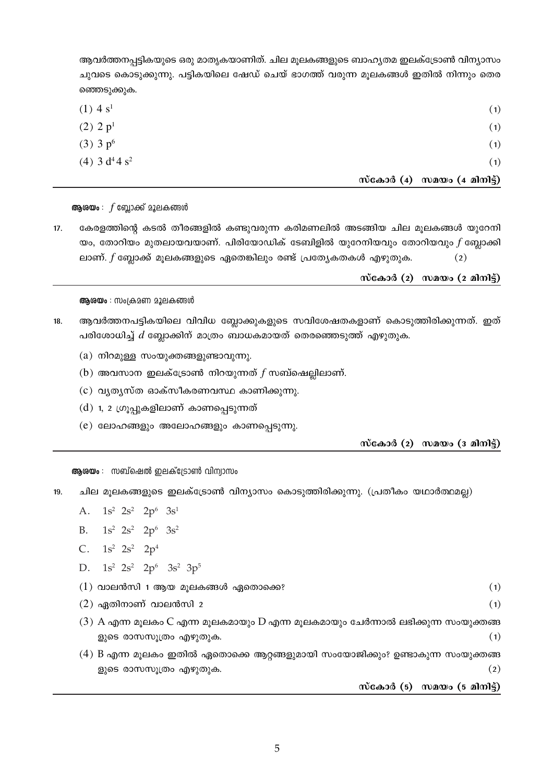ആവർത്തനപ്പട്ടികയുടെ ഒരു മാതൃകയാണിത്. ചില മുലകങ്ങളുടെ ബാഹ്യതമ ഇലക്ട്രോൺ വിന്യാസം ചുവടെ കൊടുക്കുന്നു. പട്ടികയിലെ ഷേഡ് ചെയ് ഭാഗത്ത് വരുന്ന മൂലകങ്ങൾ ഇതിൽ നിന്നും തെര ഞ്ഞെടുക്കുക.

|                                         | സമയം (4 മിനിട്ട്)<br>സ്കോർ (4) |
|-----------------------------------------|--------------------------------|
| $(4)$ 3 d <sup>4</sup> 4 s <sup>2</sup> | (1)                            |
| $(3)$ 3 $p^6$                           | (1)                            |
| $(2)$ 2 $p1$                            | (1)                            |
| $(1)$ 4 s <sup>1</sup>                  | (1)                            |
|                                         |                                |

**ആശയം** :  $f$  ബ്ലോക്ക് മൂലകങ്ങൾ

 $17.$ കേരളത്തിന്റെ കടൽ തീരങ്ങളിൽ കണ്ടുവരുന്ന കരിമണലിൽ അടങ്ങിയ ചില മൂലകങ്ങൾ യുറേനി യം, തോറിയം മുതലായവയാണ്. പിരിയോഡിക് ടേബിളിൽ യുറേനിയവും തോറിയവും  $f$  ബ്ലോക്കി ലാണ്.  $f$  ബ്ലോക്ക് മൂലകങ്ങളുടെ ഏതെങ്കിലും രണ്ട് പ്രത്യേകതകൾ എഴുതുക.  $(2)$ 

ആരയം : സംക്രമണ മൂലകങ്ങൾ

- $18.$ ആവർത്തനപട്ടികയിലെ വിവിധ ബ്ലോക്കുകളുടെ സവിശേഷതകളാണ് കൊടുത്തിരിക്കുന്നത്. ഇത് പരിശോധിച്ച്  $d$  ബ്ലോക്കിന് മാത്രം ബാധകമായത് തെരഞ്ഞെടുത്ത് എഴുതുക.
	- $(a)$  നിറമുള്ള സംയുക്തങ്ങളുണ്ടാവുന്നു.
	- (b) അവസാന ഇലക്ട്രോൺ നിറയുന്നത്  $f$  സബ്ഷെല്ലിലാണ്.
	- (c) വൃത്യസ്ത ഓക്സീകരണവസ്ഥ കാണിക്കുന്നു.
	- $(d)$  1, 2 ഗ്രൂപ്പുകളിലാണ് കാണപ്പെടുന്നത്
	- (e) ലോഹങ്ങളും അലോഹങ്ങളും കാണപ്പെടുന്നു.

സ്കോർ (2) സമയം (3 മിനിട്)

സ്കോർ (5) സമയം (5 മിനിട്ട്)

 $(1)$ 

 $(1)$ 

 $(2)$ 

സ്കോർ (2) സമയം (2 മിനിട്ട്)

ആരയം : സബ്ഷെൽ ഇലക്ട്രോൺ വിന്വാസം

- ചില മൂലകങ്ങളുടെ ഇലക്ട്രോൺ വിന്യാസം കൊടുത്തിരിക്കുന്നു. (പ്രതീകം യഥാർത്ഥമല്ല)  $19<sub>1</sub>$ 
	- A.  $1s^2$   $2s^2$   $2p^6$   $3s^1$
	- $1s^2$   $2s^2$   $2p^6$   $3s^2$  $B_{\perp}$
	- C.  $1s^2$   $2s^2$   $2p^4$
	- D.  $1s^2$   $2s^2$   $2p^6$   $3s^2$   $3p^5$

ളുടെ രാസസൂത്രം എഴുതുക.

- $(1)$  വാലൻസി 1 ആയ മുലകങ്ങൾ ഏതൊക്കെ?
- $(2)$  ഏതിനാണ് വാലൻസി 2
- $(3)$  A എന്ന മൂലകം C എന്ന മൂലകമായും D എന്ന മൂലകമായും ചേർന്നാൽ ലഭിക്കുന്ന സംയുക്തങ്ങ
- 
- $(1)$
- ളുടെ രാസസുത്രം എഴുതുക.